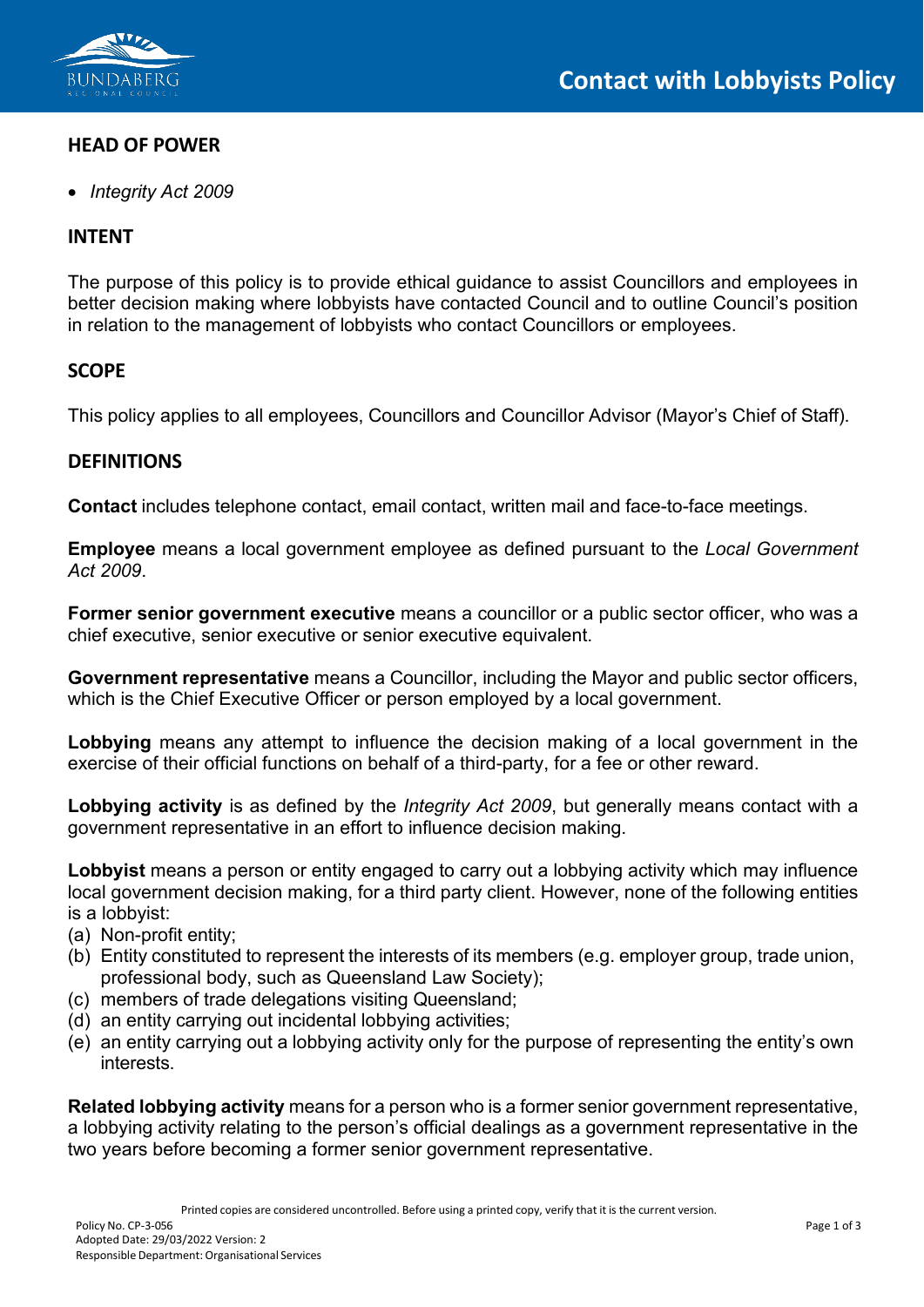

## **HEAD OF POWER**

• *Integrity Act 2009*

## **INTENT**

The purpose of this policy is to provide ethical guidance to assist Councillors and employees in better decision making where lobbyists have contacted Council and to outline Council's position in relation to the management of lobbyists who contact Councillors or employees.

## **SCOPE**

This policy applies to all employees, Councillors and Councillor Advisor (Mayor's Chief of Staff).

#### **DEFINITIONS**

**Contact** includes telephone contact, email contact, written mail and face-to-face meetings.

**Employee** means a local government employee as defined pursuant to the *Local Government Act 2009*.

**Former senior government executive** means a councillor or a public sector officer, who was a chief executive, senior executive or senior executive equivalent.

**Government representative** means a Councillor, including the Mayor and public sector officers, which is the Chief Executive Officer or person employed by a local government.

**Lobbying** means any attempt to influence the decision making of a local government in the exercise of their official functions on behalf of a third-party, for a fee or other reward.

**Lobbying activity** is as defined by the *Integrity Act 2009*, but generally means contact with a government representative in an effort to influence decision making.

**Lobbyist** means a person or entity engaged to carry out a lobbying activity which may influence local government decision making, for a third party client. However, none of the following entities is a lobbyist:

- (a) Non-profit entity;
- (b) Entity constituted to represent the interests of its members (e.g. employer group, trade union, professional body, such as Queensland Law Society);
- (c) members of trade delegations visiting Queensland;
- (d) an entity carrying out incidental lobbying activities;
- (e) an entity carrying out a lobbying activity only for the purpose of representing the entity's own interests.

**Related lobbying activity** means for a person who is a former senior government representative, a lobbying activity relating to the person's official dealings as a government representative in the two years before becoming a former senior government representative.

Printed copies are considered uncontrolled. Before using a printed copy, verify that it is the current version.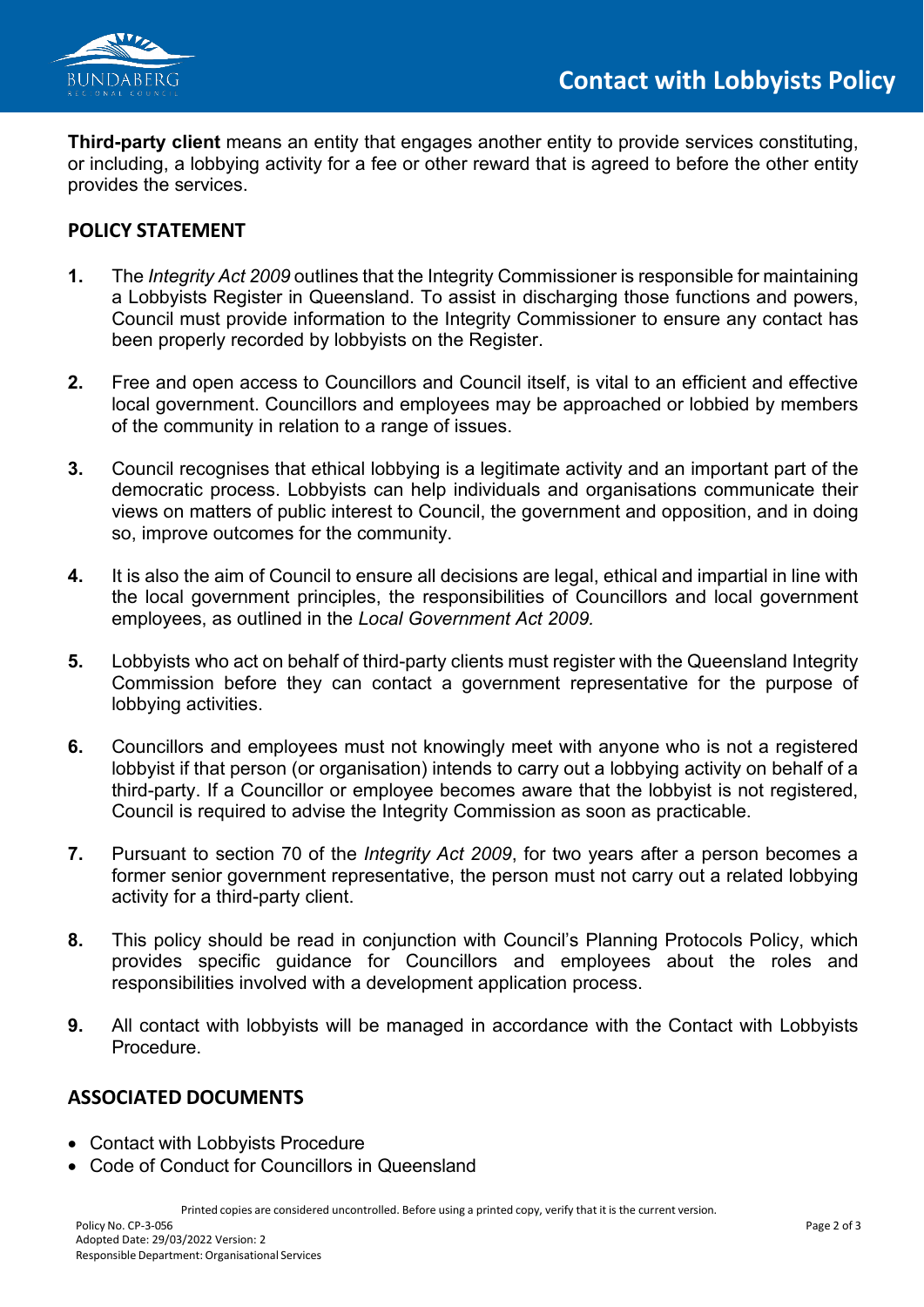

**Third-party client** means an entity that engages another entity to provide services constituting, or including, a lobbying activity for a fee or other reward that is agreed to before the other entity provides the services.

#### **POLICY STATEMENT**

- **1.** The *Integrity Act 2009* outlines that the Integrity Commissioner is responsible for maintaining a Lobbyists Register in Queensland. To assist in discharging those functions and powers, Council must provide information to the Integrity Commissioner to ensure any contact has been properly recorded by lobbyists on the Register.
- **2.** Free and open access to Councillors and Council itself, is vital to an efficient and effective local government. Councillors and employees may be approached or lobbied by members of the community in relation to a range of issues.
- **3.** Council recognises that ethical lobbying is a legitimate activity and an important part of the democratic process. Lobbyists can help individuals and organisations communicate their views on matters of public interest to Council, the government and opposition, and in doing so, improve outcomes for the community.
- **4.** It is also the aim of Council to ensure all decisions are legal, ethical and impartial in line with the local government principles, the responsibilities of Councillors and local government employees, as outlined in the *Local Government Act 2009.*
- **5.** Lobbyists who act on behalf of third-party clients must register with the Queensland Integrity Commission before they can contact a government representative for the purpose of lobbying activities.
- **6.** Councillors and employees must not knowingly meet with anyone who is not a registered lobbyist if that person (or organisation) intends to carry out a lobbying activity on behalf of a third-party. If a Councillor or employee becomes aware that the lobbyist is not registered, Council is required to advise the Integrity Commission as soon as practicable.
- **7.** Pursuant to section 70 of the *Integrity Act 2009*, for two years after a person becomes a former senior government representative, the person must not carry out a related lobbying activity for a third-party client.
- **8.** This policy should be read in conjunction with Council's Planning Protocols Policy, which provides specific guidance for Councillors and employees about the roles and responsibilities involved with a development application process.
- **9.** All contact with lobbyists will be managed in accordance with the Contact with Lobbyists Procedure.

## **ASSOCIATED DOCUMENTS**

- Contact with Lobbyists Procedure
- Code of Conduct for Councillors in Queensland